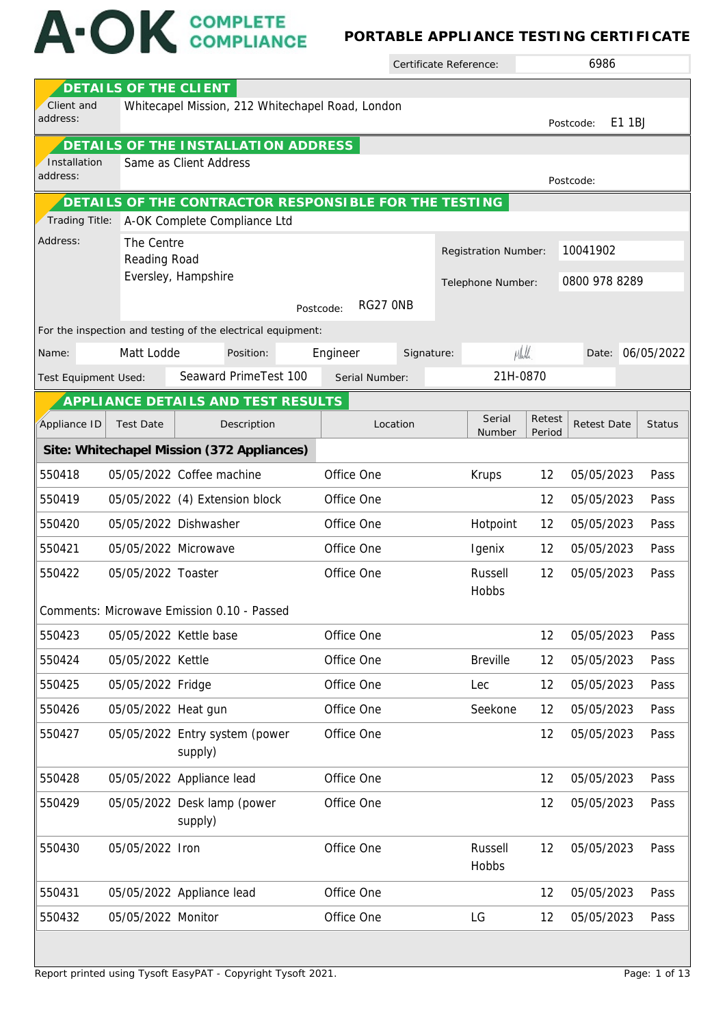## A-OK COMPLETE

## **PORTABLE APPLIANCE TESTING CERTIFICATE**

Certificate Reference:

6986

|                      | DETAILS OF THE CLIENT      |                                                               |                       |            |                      |                  |                    |        |                  |
|----------------------|----------------------------|---------------------------------------------------------------|-----------------------|------------|----------------------|------------------|--------------------|--------|------------------|
| Client and           |                            | Whitecapel Mission, 212 Whitechapel Road, London              |                       |            |                      |                  |                    |        |                  |
| address:             |                            |                                                               |                       |            |                      |                  | Postcode:          | E1 1BJ |                  |
| Installation         |                            | DETAILS OF THE INSTALLATION ADDRESS<br>Same as Client Address |                       |            |                      |                  |                    |        |                  |
| address:             |                            |                                                               |                       |            |                      |                  | Postcode:          |        |                  |
|                      |                            | DETAILS OF THE CONTRACTOR RESPONSIBLE FOR THE TESTING         |                       |            |                      |                  |                    |        |                  |
| Trading Title:       |                            | A-OK Complete Compliance Ltd                                  |                       |            |                      |                  |                    |        |                  |
| Address:             | The Centre<br>Reading Road |                                                               |                       |            | Registration Number: |                  | 10041902           |        |                  |
|                      |                            | Eversley, Hampshire                                           |                       |            | Telephone Number:    |                  | 0800 978 8289      |        |                  |
|                      |                            |                                                               | RG27 ONB<br>Postcode: |            |                      |                  |                    |        |                  |
|                      |                            | For the inspection and testing of the electrical equipment:   |                       |            |                      |                  |                    |        |                  |
| Name:                | Matt Lodde                 | Position:                                                     | Engineer              | Signature: | Mhull                |                  |                    |        | Date: 06/05/2022 |
| Test Equipment Used: |                            | Seaward PrimeTest 100                                         | Serial Number:        |            | 21H-0870             |                  |                    |        |                  |
|                      |                            | APPLI ANCE DETAILS AND TEST RESULTS                           |                       |            |                      |                  |                    |        |                  |
| Appliance ID         | <b>Test Date</b>           | Description                                                   | Location              |            | Serial<br>Number     | Retest<br>Period | <b>Retest Date</b> |        | <b>Status</b>    |
|                      |                            | Site: Whitechapel Mission (372 Appliances)                    |                       |            |                      |                  |                    |        |                  |
| 550418               |                            | 05/05/2022 Coffee machine                                     | Office One            |            | Krups                | 12               | 05/05/2023         |        | Pass             |
| 550419               |                            | 05/05/2022 (4) Extension block                                | Office One            |            |                      | 12               | 05/05/2023         |        | Pass             |
| 550420               |                            | 05/05/2022 Dishwasher                                         | Office One            |            | Hotpoint             | 12               | 05/05/2023         |        | Pass             |
| 550421               | 05/05/2022 Microwave       |                                                               | Office One            |            | Igenix               | 12               | 05/05/2023         |        | Pass             |
| 550422               | 05/05/2022 Toaster         |                                                               | Office One            |            | Russell              | 12               | 05/05/2023         |        | Pass             |
|                      |                            |                                                               |                       |            | Hobbs                |                  |                    |        |                  |
|                      |                            | Comments: Microwave Emission 0.10 - Passed                    |                       |            |                      |                  |                    |        |                  |
| 550423               | 05/05/2022 Kettle base     |                                                               | Office One            |            |                      | 12               | 05/05/2023         |        | Pass             |
| 550424               | 05/05/2022 Kettle          |                                                               | Office One            |            | <b>Breville</b>      | 12               | 05/05/2023         |        | Pass             |
| 550425               | 05/05/2022 Fridge          |                                                               | Office One            |            | Lec                  | 12               | 05/05/2023         |        | Pass             |
| 550426               | 05/05/2022 Heat gun        |                                                               | Office One            |            | Seekone              | 12               | 05/05/2023         |        | Pass             |
| 550427               |                            | 05/05/2022 Entry system (power<br>supply)                     | Office One            |            |                      | 12               | 05/05/2023         |        | Pass             |
| 550428               |                            | 05/05/2022 Appliance lead                                     | Office One            |            |                      | 12               | 05/05/2023         |        | Pass             |
| 550429               |                            | 05/05/2022 Desk lamp (power<br>supply)                        | Office One            |            |                      | 12               | 05/05/2023         |        | Pass             |
| 550430               | 05/05/2022 Iron            |                                                               | Office One            |            | Russell<br>Hobbs     | 12               | 05/05/2023         |        | Pass             |
| 550431               |                            | 05/05/2022 Appliance lead                                     | Office One            |            |                      | 12               | 05/05/2023         |        | Pass             |
| 550432               | 05/05/2022 Monitor         |                                                               | Office One            |            | LG                   | 12               | 05/05/2023         |        | Pass             |
|                      |                            |                                                               |                       |            |                      |                  |                    |        |                  |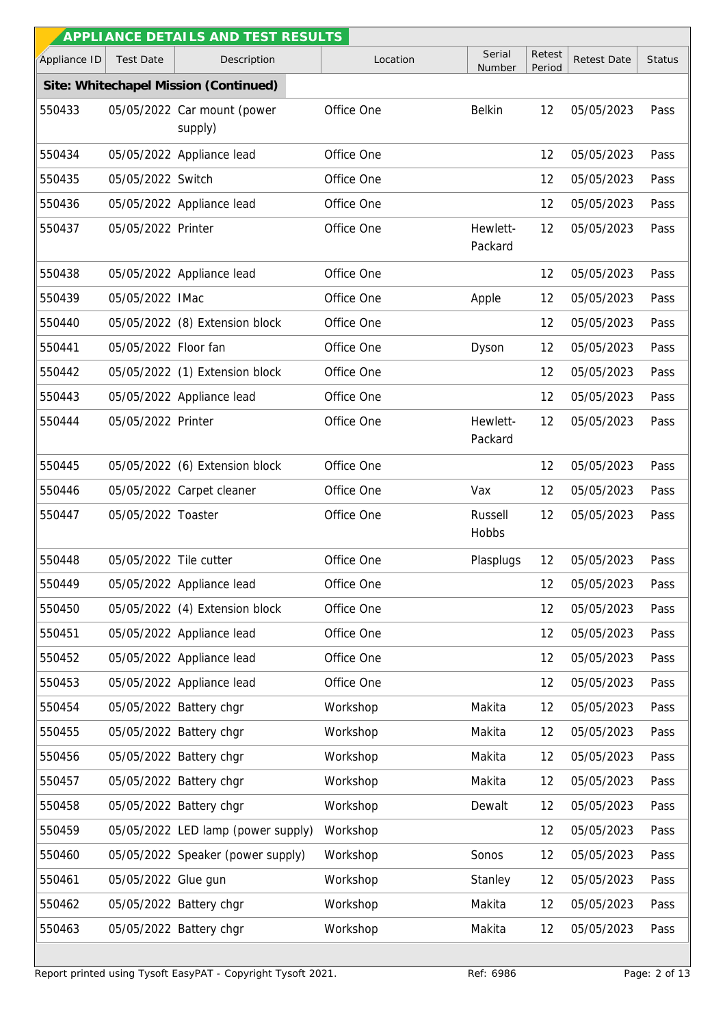|              |                        | APPLI ANCE DETAILS AND TEST RESULTS    |            |                     |                  |                    |               |
|--------------|------------------------|----------------------------------------|------------|---------------------|------------------|--------------------|---------------|
| Appliance ID | <b>Test Date</b>       | Description                            | Location   | Serial<br>Number    | Retest<br>Period | <b>Retest Date</b> | <b>Status</b> |
|              |                        | Site: Whitechapel Mission (Continued)  |            |                     |                  |                    |               |
| 550433       |                        | 05/05/2022 Car mount (power<br>supply) | Office One | <b>Belkin</b>       | 12               | 05/05/2023         | Pass          |
| 550434       |                        | 05/05/2022 Appliance lead              | Office One |                     | 12               | 05/05/2023         | Pass          |
| 550435       | 05/05/2022 Switch      |                                        | Office One |                     | 12               | 05/05/2023         | Pass          |
| 550436       |                        | 05/05/2022 Appliance lead              | Office One |                     | 12               | 05/05/2023         | Pass          |
| 550437       | 05/05/2022 Printer     |                                        | Office One | Hewlett-<br>Packard | 12               | 05/05/2023         | Pass          |
| 550438       |                        | 05/05/2022 Appliance lead              | Office One |                     | 12               | 05/05/2023         | Pass          |
| 550439       | 05/05/2022 IMac        |                                        | Office One | Apple               | 12               | 05/05/2023         | Pass          |
| 550440       |                        | 05/05/2022 (8) Extension block         | Office One |                     | 12               | 05/05/2023         | Pass          |
| 550441       | 05/05/2022 Floor fan   |                                        | Office One | Dyson               | 12               | 05/05/2023         | Pass          |
| 550442       |                        | 05/05/2022 (1) Extension block         | Office One |                     | 12               | 05/05/2023         | Pass          |
| 550443       |                        | 05/05/2022 Appliance lead              | Office One |                     | 12               | 05/05/2023         | Pass          |
| 550444       | 05/05/2022 Printer     |                                        | Office One | Hewlett-<br>Packard | 12               | 05/05/2023         | Pass          |
| 550445       |                        | 05/05/2022 (6) Extension block         | Office One |                     | 12               | 05/05/2023         | Pass          |
| 550446       |                        | 05/05/2022 Carpet cleaner              | Office One | Vax                 | 12               | 05/05/2023         | Pass          |
| 550447       | 05/05/2022 Toaster     |                                        | Office One | Russell<br>Hobbs    | 12               | 05/05/2023         | Pass          |
| 550448       | 05/05/2022 Tile cutter |                                        | Office One | Plasplugs           | 12               | 05/05/2023         | Pass          |
| 550449       |                        | 05/05/2022 Appliance lead              | Office One |                     | 12               | 05/05/2023         | Pass          |
| 550450       |                        | 05/05/2022 (4) Extension block         | Office One |                     | 12               | 05/05/2023         | Pass          |
| 550451       |                        | 05/05/2022 Appliance lead              | Office One |                     | 12               | 05/05/2023         | Pass          |
| 550452       |                        | 05/05/2022 Appliance lead              | Office One |                     | 12               | 05/05/2023         | Pass          |
| 550453       |                        | 05/05/2022 Appliance lead              | Office One |                     | 12               | 05/05/2023         | Pass          |
| 550454       |                        | 05/05/2022 Battery chgr                | Workshop   | Makita              | 12               | 05/05/2023         | Pass          |
| 550455       |                        | 05/05/2022 Battery chgr                | Workshop   | Makita              | 12               | 05/05/2023         | Pass          |
| 550456       |                        | 05/05/2022 Battery chgr                | Workshop   | Makita              | 12               | 05/05/2023         | Pass          |
| 550457       |                        | 05/05/2022 Battery chgr                | Workshop   | Makita              | 12               | 05/05/2023         | Pass          |
| 550458       |                        | 05/05/2022 Battery chgr                | Workshop   | Dewalt              | 12               | 05/05/2023         | Pass          |
| 550459       |                        | 05/05/2022 LED lamp (power supply)     | Workshop   |                     | 12               | 05/05/2023         | Pass          |
| 550460       |                        | 05/05/2022 Speaker (power supply)      | Workshop   | Sonos               | 12               | 05/05/2023         | Pass          |
| 550461       | 05/05/2022 Glue gun    |                                        | Workshop   | Stanley             | 12               | 05/05/2023         | Pass          |
| 550462       |                        | 05/05/2022 Battery chgr                | Workshop   | Makita              | 12               | 05/05/2023         | Pass          |
| 550463       |                        | 05/05/2022 Battery chgr                | Workshop   | Makita              | 12               | 05/05/2023         | Pass          |
|              |                        |                                        |            |                     |                  |                    |               |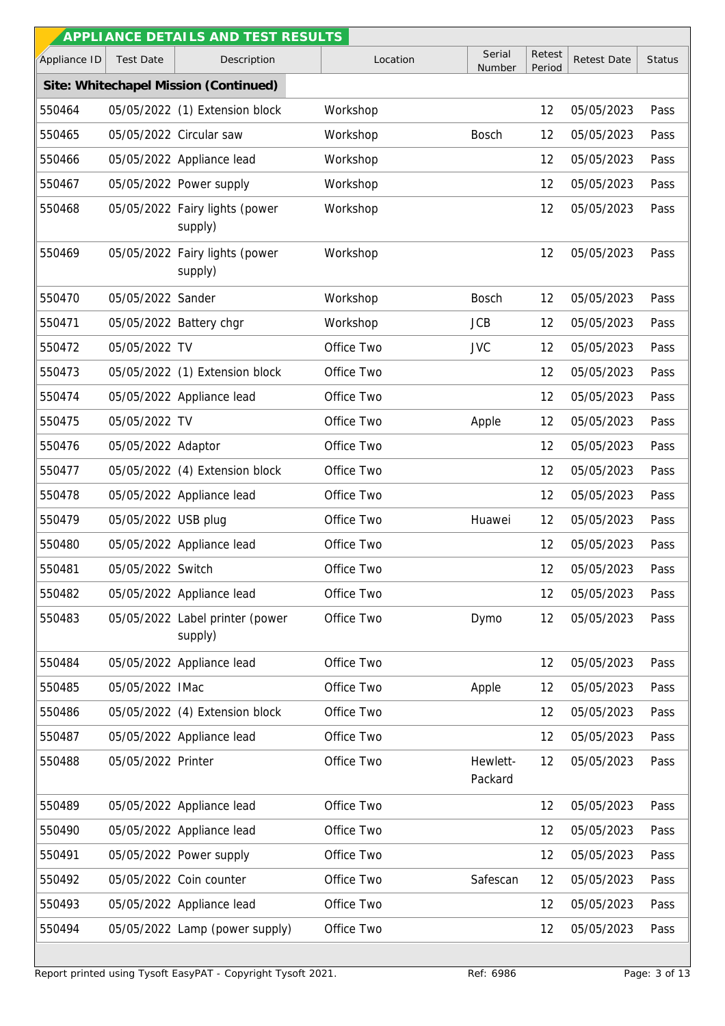|              |                     | APPLI ANCE DETAILS AND TEST RESULTS        |            |                     |                  |                    |               |
|--------------|---------------------|--------------------------------------------|------------|---------------------|------------------|--------------------|---------------|
| Appliance ID | <b>Test Date</b>    | Description                                | Location   | Serial<br>Number    | Retest<br>Period | <b>Retest Date</b> | <b>Status</b> |
|              |                     | Site: Whitechapel Mission (Continued)      |            |                     |                  |                    |               |
| 550464       |                     | 05/05/2022 (1) Extension block             | Workshop   |                     | 12               | 05/05/2023         | Pass          |
| 550465       |                     | 05/05/2022 Circular saw                    | Workshop   | <b>Bosch</b>        | 12               | 05/05/2023         | Pass          |
| 550466       |                     | 05/05/2022 Appliance lead                  | Workshop   |                     | 12               | 05/05/2023         | Pass          |
| 550467       |                     | 05/05/2022 Power supply                    | Workshop   |                     | 12               | 05/05/2023         | Pass          |
| 550468       |                     | 05/05/2022 Fairy lights (power<br>supply)  | Workshop   |                     | 12               | 05/05/2023         | Pass          |
| 550469       |                     | 05/05/2022 Fairy lights (power<br>supply)  | Workshop   |                     | 12               | 05/05/2023         | Pass          |
| 550470       | 05/05/2022 Sander   |                                            | Workshop   | <b>Bosch</b>        | 12               | 05/05/2023         | Pass          |
| 550471       |                     | 05/05/2022 Battery chgr                    | Workshop   | <b>JCB</b>          | 12               | 05/05/2023         | Pass          |
| 550472       | 05/05/2022 TV       |                                            | Office Two | <b>JVC</b>          | 12               | 05/05/2023         | Pass          |
| 550473       |                     | 05/05/2022 (1) Extension block             | Office Two |                     | 12               | 05/05/2023         | Pass          |
| 550474       |                     | 05/05/2022 Appliance lead                  | Office Two |                     | 12               | 05/05/2023         | Pass          |
| 550475       | 05/05/2022 TV       |                                            | Office Two | Apple               | 12               | 05/05/2023         | Pass          |
| 550476       | 05/05/2022 Adaptor  |                                            | Office Two |                     | 12               | 05/05/2023         | Pass          |
| 550477       |                     | 05/05/2022 (4) Extension block             | Office Two |                     | 12               | 05/05/2023         | Pass          |
| 550478       |                     | 05/05/2022 Appliance lead                  | Office Two |                     | 12               | 05/05/2023         | Pass          |
| 550479       | 05/05/2022 USB plug |                                            | Office Two | Huawei              | 12               | 05/05/2023         | Pass          |
| 550480       |                     | 05/05/2022 Appliance lead                  | Office Two |                     | 12               | 05/05/2023         | Pass          |
| 550481       | 05/05/2022 Switch   |                                            | Office Two |                     | 12               | 05/05/2023         | Pass          |
| 550482       |                     | 05/05/2022 Appliance lead                  | Office Two |                     | 12               | 05/05/2023         | Pass          |
| 550483       |                     | 05/05/2022 Label printer (power<br>supply) | Office Two | Dymo                | 12               | 05/05/2023         | Pass          |
| 550484       |                     | 05/05/2022 Appliance lead                  | Office Two |                     | 12               | 05/05/2023         | Pass          |
| 550485       | 05/05/2022 IMac     |                                            | Office Two | Apple               | 12               | 05/05/2023         | Pass          |
| 550486       |                     | 05/05/2022 (4) Extension block             | Office Two |                     | 12               | 05/05/2023         | Pass          |
| 550487       |                     | 05/05/2022 Appliance lead                  | Office Two |                     | 12               | 05/05/2023         | Pass          |
| 550488       | 05/05/2022 Printer  |                                            | Office Two | Hewlett-<br>Packard | 12               | 05/05/2023         | Pass          |
| 550489       |                     | 05/05/2022 Appliance lead                  | Office Two |                     | 12               | 05/05/2023         | Pass          |
| 550490       |                     | 05/05/2022 Appliance lead                  | Office Two |                     | 12               | 05/05/2023         | Pass          |
| 550491       |                     | 05/05/2022 Power supply                    | Office Two |                     | 12               | 05/05/2023         | Pass          |
| 550492       |                     | 05/05/2022 Coin counter                    | Office Two | Safescan            | 12               | 05/05/2023         | Pass          |
| 550493       |                     | 05/05/2022 Appliance lead                  | Office Two |                     | 12               | 05/05/2023         | Pass          |
| 550494       |                     | 05/05/2022 Lamp (power supply)             | Office Two |                     | 12               | 05/05/2023         | Pass          |
|              |                     |                                            |            |                     |                  |                    |               |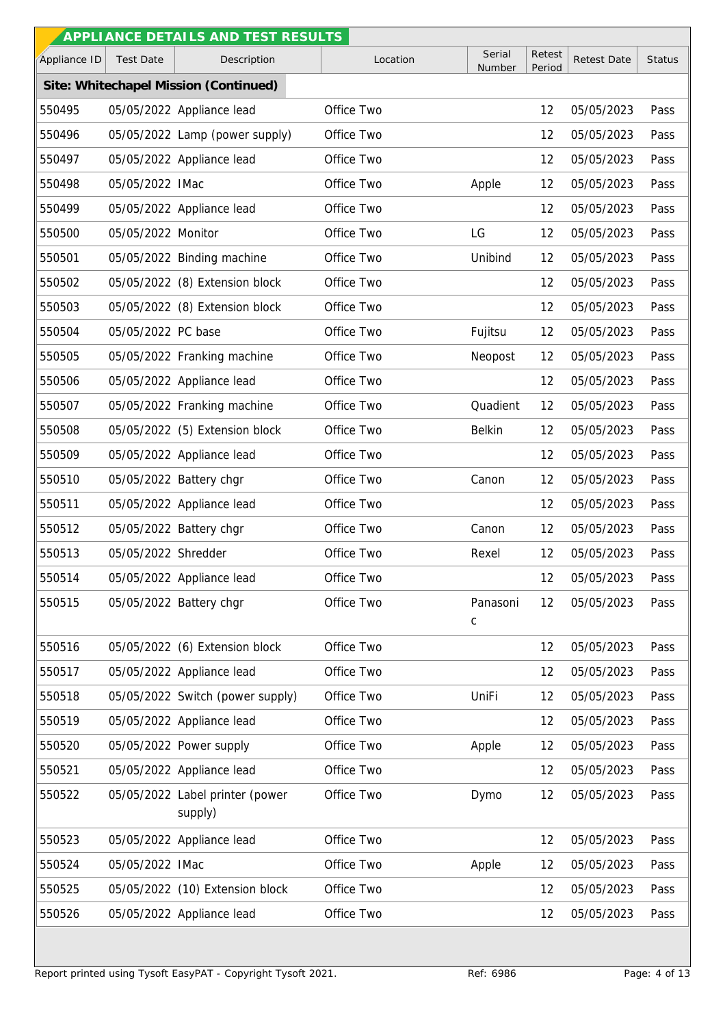|              |                     | APPLI ANCE DETAILS AND TEST RESULTS        |            |                         |                  |                    |               |
|--------------|---------------------|--------------------------------------------|------------|-------------------------|------------------|--------------------|---------------|
| Appliance ID | <b>Test Date</b>    | Description                                | Location   | Serial<br>Number        | Retest<br>Period | <b>Retest Date</b> | <b>Status</b> |
|              |                     | Site: Whitechapel Mission (Continued)      |            |                         |                  |                    |               |
| 550495       |                     | 05/05/2022 Appliance lead                  | Office Two |                         | 12               | 05/05/2023         | Pass          |
| 550496       |                     | 05/05/2022 Lamp (power supply)             | Office Two |                         | 12               | 05/05/2023         | Pass          |
| 550497       |                     | 05/05/2022 Appliance lead                  | Office Two |                         | 12               | 05/05/2023         | Pass          |
| 550498       | 05/05/2022 IMac     |                                            | Office Two | Apple                   | 12               | 05/05/2023         | Pass          |
| 550499       |                     | 05/05/2022 Appliance lead                  | Office Two |                         | 12               | 05/05/2023         | Pass          |
| 550500       | 05/05/2022 Monitor  |                                            | Office Two | LG                      | 12               | 05/05/2023         | Pass          |
| 550501       |                     | 05/05/2022 Binding machine                 | Office Two | Unibind                 | 12               | 05/05/2023         | Pass          |
| 550502       |                     | 05/05/2022 (8) Extension block             | Office Two |                         | 12               | 05/05/2023         | Pass          |
| 550503       |                     | 05/05/2022 (8) Extension block             | Office Two |                         | 12               | 05/05/2023         | Pass          |
| 550504       | 05/05/2022 PC base  |                                            | Office Two | Fujitsu                 | 12               | 05/05/2023         | Pass          |
| 550505       |                     | 05/05/2022 Franking machine                | Office Two | Neopost                 | 12               | 05/05/2023         | Pass          |
| 550506       |                     | 05/05/2022 Appliance lead                  | Office Two |                         | 12               | 05/05/2023         | Pass          |
| 550507       |                     | 05/05/2022 Franking machine                | Office Two | Quadient                | 12               | 05/05/2023         | Pass          |
| 550508       |                     | 05/05/2022 (5) Extension block             | Office Two | <b>Belkin</b>           | 12               | 05/05/2023         | Pass          |
| 550509       |                     | 05/05/2022 Appliance lead                  | Office Two |                         | 12               | 05/05/2023         | Pass          |
| 550510       |                     | 05/05/2022 Battery chgr                    | Office Two | Canon                   | 12               | 05/05/2023         | Pass          |
| 550511       |                     | 05/05/2022 Appliance lead                  | Office Two |                         | 12               | 05/05/2023         | Pass          |
| 550512       |                     | 05/05/2022 Battery chgr                    | Office Two | Canon                   | 12               | 05/05/2023         | Pass          |
| 550513       | 05/05/2022 Shredder |                                            | Office Two | Rexel                   | 12               | 05/05/2023         | Pass          |
| 550514       |                     | 05/05/2022 Appliance lead                  | Office Two |                         | 12               | 05/05/2023         | Pass          |
| 550515       |                     | 05/05/2022 Battery chgr                    | Office Two | Panasoni<br>$\mathsf C$ | 12               | 05/05/2023         | Pass          |
| 550516       |                     | 05/05/2022 (6) Extension block             | Office Two |                         | 12               | 05/05/2023         | Pass          |
| 550517       |                     | 05/05/2022 Appliance lead                  | Office Two |                         | 12               | 05/05/2023         | Pass          |
| 550518       |                     | 05/05/2022 Switch (power supply)           | Office Two | UniFi                   | 12               | 05/05/2023         | Pass          |
| 550519       |                     | 05/05/2022 Appliance lead                  | Office Two |                         | 12               | 05/05/2023         | Pass          |
| 550520       |                     | 05/05/2022 Power supply                    | Office Two | Apple                   | 12               | 05/05/2023         | Pass          |
| 550521       |                     | 05/05/2022 Appliance lead                  | Office Two |                         | 12               | 05/05/2023         | Pass          |
| 550522       |                     | 05/05/2022 Label printer (power<br>supply) | Office Two | Dymo                    | 12               | 05/05/2023         | Pass          |
| 550523       |                     | 05/05/2022 Appliance lead                  | Office Two |                         | 12               | 05/05/2023         | Pass          |
| 550524       | 05/05/2022 IMac     |                                            | Office Two | Apple                   | 12               | 05/05/2023         | Pass          |
| 550525       |                     | 05/05/2022 (10) Extension block            | Office Two |                         | 12               | 05/05/2023         | Pass          |
| 550526       |                     | 05/05/2022 Appliance lead                  | Office Two |                         | 12               | 05/05/2023         | Pass          |
|              |                     |                                            |            |                         |                  |                    |               |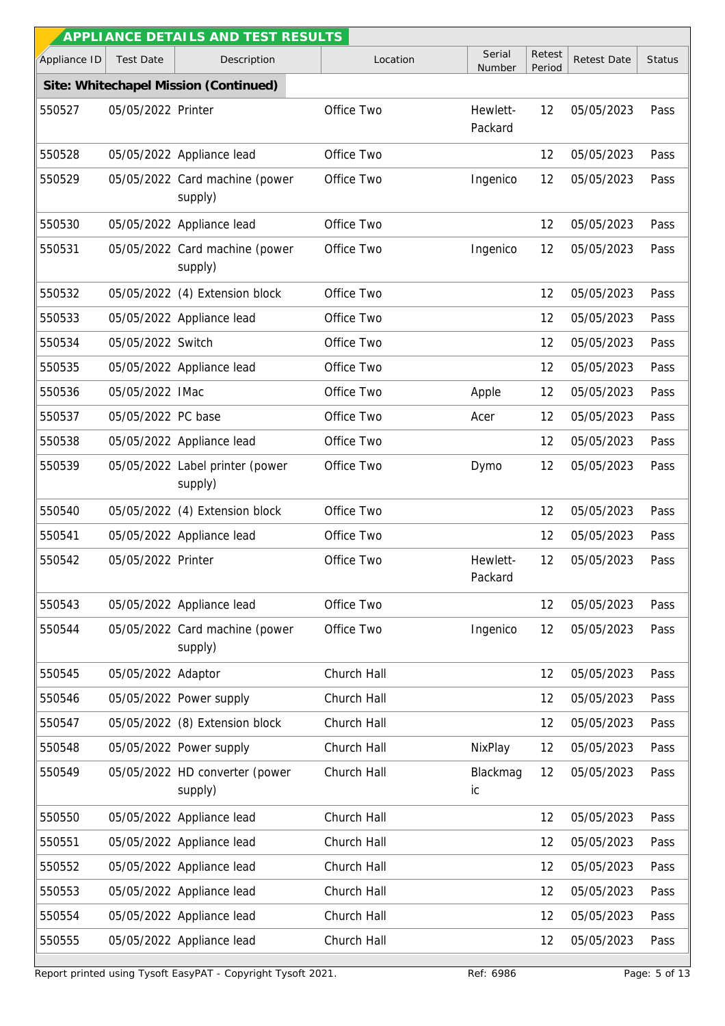|              |                    | APPLIANCE DETAILS AND TEST RESULTS         |             |                     |                  |                    |               |
|--------------|--------------------|--------------------------------------------|-------------|---------------------|------------------|--------------------|---------------|
| Appliance ID | <b>Test Date</b>   | Description                                | Location    | Serial<br>Number    | Retest<br>Period | <b>Retest Date</b> | <b>Status</b> |
|              |                    | Site: Whitechapel Mission (Continued)      |             |                     |                  |                    |               |
| 550527       | 05/05/2022 Printer |                                            | Office Two  | Hewlett-<br>Packard | 12               | 05/05/2023         | Pass          |
| 550528       |                    | 05/05/2022 Appliance lead                  | Office Two  |                     | 12               | 05/05/2023         | Pass          |
| 550529       |                    | 05/05/2022 Card machine (power<br>supply)  | Office Two  | Ingenico            | 12               | 05/05/2023         | Pass          |
| 550530       |                    | 05/05/2022 Appliance lead                  | Office Two  |                     | 12               | 05/05/2023         | Pass          |
| 550531       |                    | 05/05/2022 Card machine (power<br>supply)  | Office Two  | Ingenico            | 12               | 05/05/2023         | Pass          |
| 550532       |                    | 05/05/2022 (4) Extension block             | Office Two  |                     | 12               | 05/05/2023         | Pass          |
| 550533       |                    | 05/05/2022 Appliance lead                  | Office Two  |                     | 12               | 05/05/2023         | Pass          |
| 550534       | 05/05/2022 Switch  |                                            | Office Two  |                     | 12               | 05/05/2023         | Pass          |
| 550535       |                    | 05/05/2022 Appliance lead                  | Office Two  |                     | 12               | 05/05/2023         | Pass          |
| 550536       | 05/05/2022 IMac    |                                            | Office Two  | Apple               | 12               | 05/05/2023         | Pass          |
| 550537       | 05/05/2022 PC base |                                            | Office Two  | Acer                | 12               | 05/05/2023         | Pass          |
| 550538       |                    | 05/05/2022 Appliance lead                  | Office Two  |                     | 12               | 05/05/2023         | Pass          |
| 550539       |                    | 05/05/2022 Label printer (power<br>supply) | Office Two  | Dymo                | 12               | 05/05/2023         | Pass          |
| 550540       |                    | 05/05/2022 (4) Extension block             | Office Two  |                     | 12               | 05/05/2023         | Pass          |
| 550541       |                    | 05/05/2022 Appliance lead                  | Office Two  |                     | 12               | 05/05/2023         | Pass          |
| 550542       | 05/05/2022 Printer |                                            | Office Two  | Hewlett-<br>Packard | 12               | 05/05/2023         | Pass          |
| 550543       |                    | 05/05/2022 Appliance lead                  | Office Two  |                     | 12               | 05/05/2023         | Pass          |
| 550544       |                    | 05/05/2022 Card machine (power<br>supply)  | Office Two  | Ingenico            | 12               | 05/05/2023         | Pass          |
| 550545       | 05/05/2022 Adaptor |                                            | Church Hall |                     | 12               | 05/05/2023         | Pass          |
| 550546       |                    | 05/05/2022 Power supply                    | Church Hall |                     | 12               | 05/05/2023         | Pass          |
| 550547       |                    | 05/05/2022 (8) Extension block             | Church Hall |                     | 12               | 05/05/2023         | Pass          |
| 550548       |                    | 05/05/2022 Power supply                    | Church Hall | NixPlay             | 12               | 05/05/2023         | Pass          |
| 550549       |                    | 05/05/2022 HD converter (power<br>supply)  | Church Hall | Blackmag<br>ic      | 12               | 05/05/2023         | Pass          |
| 550550       |                    | 05/05/2022 Appliance lead                  | Church Hall |                     | 12               | 05/05/2023         | Pass          |
| 550551       |                    | 05/05/2022 Appliance lead                  | Church Hall |                     | 12               | 05/05/2023         | Pass          |
| 550552       |                    | 05/05/2022 Appliance lead                  | Church Hall |                     | 12               | 05/05/2023         | Pass          |
| 550553       |                    | 05/05/2022 Appliance lead                  | Church Hall |                     | 12               | 05/05/2023         | Pass          |
| 550554       |                    | 05/05/2022 Appliance lead                  | Church Hall |                     | 12               | 05/05/2023         | Pass          |
| 550555       |                    | 05/05/2022 Appliance lead                  | Church Hall |                     | 12               | 05/05/2023         | Pass          |

Report printed using Tysoft EasyPAT - Copyright Tysoft 2021. Ref: 6986 Ref: 6986 Page: 5 of 13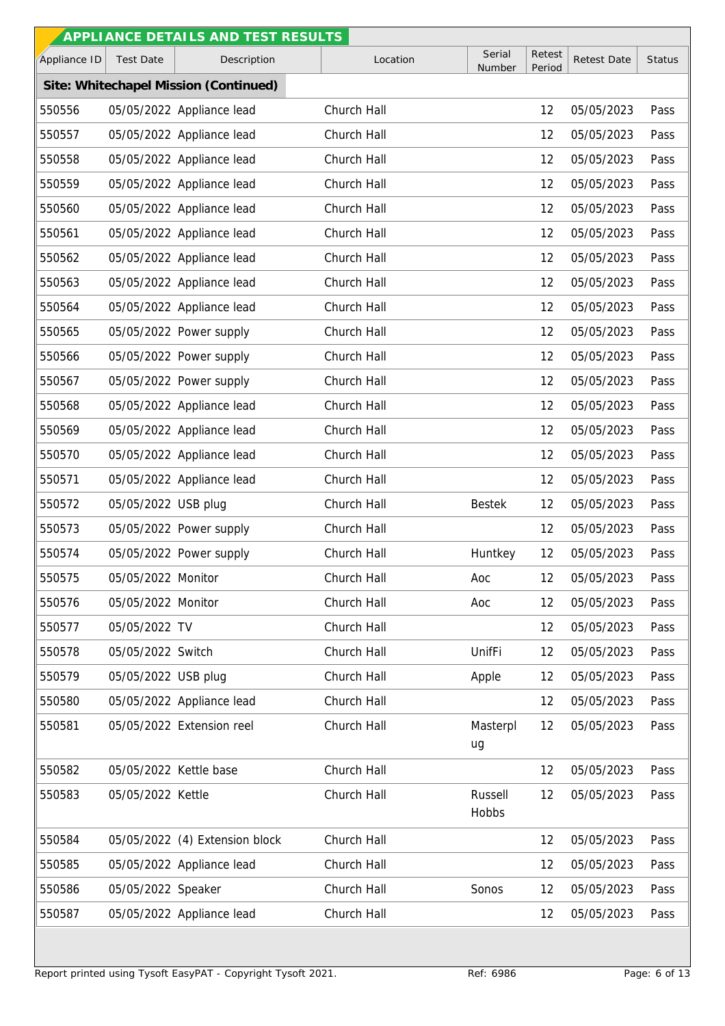|              |                        | APPLI ANCE DETAILS AND TEST RESULTS   |             |                  |                  |                    |               |
|--------------|------------------------|---------------------------------------|-------------|------------------|------------------|--------------------|---------------|
| Appliance ID | <b>Test Date</b>       | Description                           | Location    | Serial<br>Number | Retest<br>Period | <b>Retest Date</b> | <b>Status</b> |
|              |                        | Site: Whitechapel Mission (Continued) |             |                  |                  |                    |               |
| 550556       |                        | 05/05/2022 Appliance lead             | Church Hall |                  | 12               | 05/05/2023         | Pass          |
| 550557       |                        | 05/05/2022 Appliance lead             | Church Hall |                  | 12               | 05/05/2023         | Pass          |
| 550558       |                        | 05/05/2022 Appliance lead             | Church Hall |                  | 12               | 05/05/2023         | Pass          |
| 550559       |                        | 05/05/2022 Appliance lead             | Church Hall |                  | 12               | 05/05/2023         | Pass          |
| 550560       |                        | 05/05/2022 Appliance lead             | Church Hall |                  | 12               | 05/05/2023         | Pass          |
| 550561       |                        | 05/05/2022 Appliance lead             | Church Hall |                  | 12               | 05/05/2023         | Pass          |
| 550562       |                        | 05/05/2022 Appliance lead             | Church Hall |                  | 12               | 05/05/2023         | Pass          |
| 550563       |                        | 05/05/2022 Appliance lead             | Church Hall |                  | 12               | 05/05/2023         | Pass          |
| 550564       |                        | 05/05/2022 Appliance lead             | Church Hall |                  | 12               | 05/05/2023         | Pass          |
| 550565       |                        | 05/05/2022 Power supply               | Church Hall |                  | 12               | 05/05/2023         | Pass          |
| 550566       |                        | 05/05/2022 Power supply               | Church Hall |                  | 12               | 05/05/2023         | Pass          |
| 550567       |                        | 05/05/2022 Power supply               | Church Hall |                  | 12               | 05/05/2023         | Pass          |
| 550568       |                        | 05/05/2022 Appliance lead             | Church Hall |                  | 12               | 05/05/2023         | Pass          |
| 550569       |                        | 05/05/2022 Appliance lead             | Church Hall |                  | 12               | 05/05/2023         | Pass          |
| 550570       |                        | 05/05/2022 Appliance lead             | Church Hall |                  | 12               | 05/05/2023         | Pass          |
| 550571       |                        | 05/05/2022 Appliance lead             | Church Hall |                  | 12               | 05/05/2023         | Pass          |
| 550572       | 05/05/2022 USB plug    |                                       | Church Hall | <b>Bestek</b>    | 12               | 05/05/2023         | Pass          |
| 550573       |                        | 05/05/2022 Power supply               | Church Hall |                  | 12               | 05/05/2023         | Pass          |
| 550574       |                        | 05/05/2022 Power supply               | Church Hall | Huntkey          | 12               | 05/05/2023         | Pass          |
| 550575       | 05/05/2022 Monitor     |                                       | Church Hall | Aoc              | 12               | 05/05/2023         | Pass          |
| 550576       | 05/05/2022 Monitor     |                                       | Church Hall | Aoc              | 12               | 05/05/2023         | Pass          |
| 550577       | 05/05/2022 TV          |                                       | Church Hall |                  | 12               | 05/05/2023         | Pass          |
| 550578       | 05/05/2022 Switch      |                                       | Church Hall | UnifFi           | 12               | 05/05/2023         | Pass          |
| 550579       | 05/05/2022 USB plug    |                                       | Church Hall | Apple            | 12               | 05/05/2023         | Pass          |
| 550580       |                        | 05/05/2022 Appliance lead             | Church Hall |                  | 12               | 05/05/2023         | Pass          |
| 550581       |                        | 05/05/2022 Extension reel             | Church Hall | Masterpl<br>ug   | 12               | 05/05/2023         | Pass          |
| 550582       | 05/05/2022 Kettle base |                                       | Church Hall |                  | 12               | 05/05/2023         | Pass          |
| 550583       | 05/05/2022 Kettle      |                                       | Church Hall | Russell<br>Hobbs | 12               | 05/05/2023         | Pass          |
| 550584       |                        | 05/05/2022 (4) Extension block        | Church Hall |                  | 12               | 05/05/2023         | Pass          |
| 550585       |                        | 05/05/2022 Appliance lead             | Church Hall |                  | 12               | 05/05/2023         | Pass          |
| 550586       | 05/05/2022 Speaker     |                                       | Church Hall | Sonos            | 12               | 05/05/2023         | Pass          |
| 550587       |                        | 05/05/2022 Appliance lead             | Church Hall |                  | 12               | 05/05/2023         | Pass          |
|              |                        |                                       |             |                  |                  |                    |               |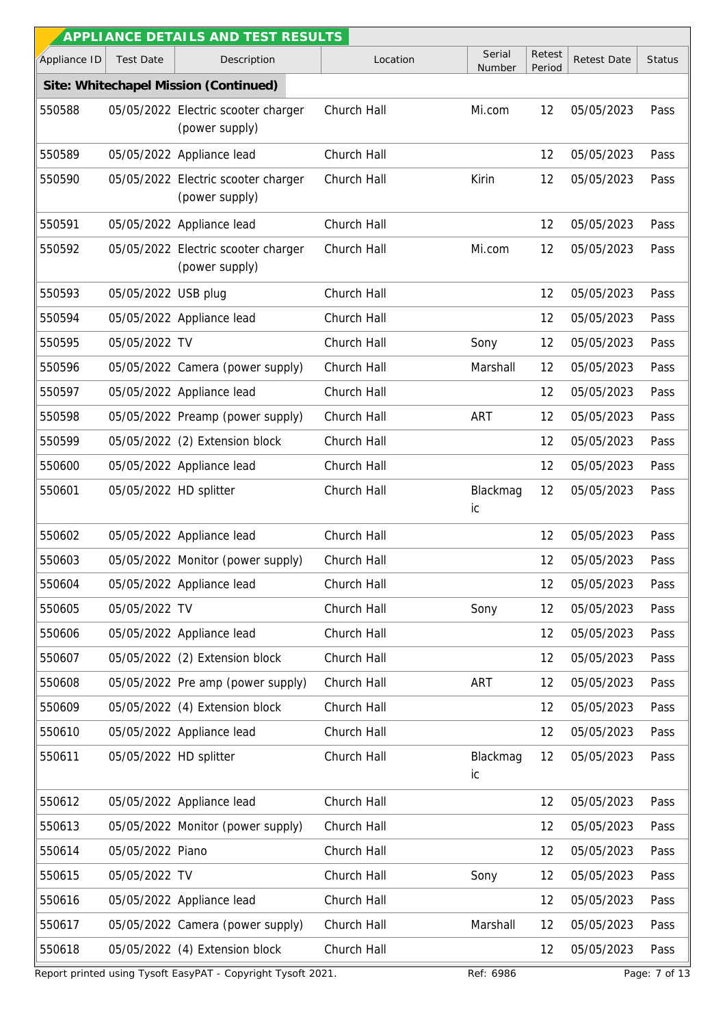|              |                        | APPLI ANCE DETAILS AND TEST RESULTS                   |             |                  |                  |             |               |
|--------------|------------------------|-------------------------------------------------------|-------------|------------------|------------------|-------------|---------------|
| Appliance ID | <b>Test Date</b>       | Description                                           | Location    | Serial<br>Number | Retest<br>Period | Retest Date | <b>Status</b> |
|              |                        | Site: Whitechapel Mission (Continued)                 |             |                  |                  |             |               |
| 550588       |                        | 05/05/2022 Electric scooter charger<br>(power supply) | Church Hall | Mi.com           | 12               | 05/05/2023  | Pass          |
| 550589       |                        | 05/05/2022 Appliance lead                             | Church Hall |                  | 12               | 05/05/2023  | Pass          |
| 550590       |                        | 05/05/2022 Electric scooter charger<br>(power supply) | Church Hall | Kirin            | 12               | 05/05/2023  | Pass          |
| 550591       |                        | 05/05/2022 Appliance lead                             | Church Hall |                  | 12               | 05/05/2023  | Pass          |
| 550592       |                        | 05/05/2022 Electric scooter charger<br>(power supply) | Church Hall | Mi.com           | 12               | 05/05/2023  | Pass          |
| 550593       | 05/05/2022 USB plug    |                                                       | Church Hall |                  | 12               | 05/05/2023  | Pass          |
| 550594       |                        | 05/05/2022 Appliance lead                             | Church Hall |                  | 12               | 05/05/2023  | Pass          |
| 550595       | 05/05/2022 TV          |                                                       | Church Hall | Sony             | 12               | 05/05/2023  | Pass          |
| 550596       |                        | 05/05/2022 Camera (power supply)                      | Church Hall | Marshall         | 12               | 05/05/2023  | Pass          |
| 550597       |                        | 05/05/2022 Appliance lead                             | Church Hall |                  | 12               | 05/05/2023  | Pass          |
| 550598       |                        | 05/05/2022 Preamp (power supply)                      | Church Hall | ART              | 12               | 05/05/2023  | Pass          |
| 550599       |                        | 05/05/2022 (2) Extension block                        | Church Hall |                  | 12               | 05/05/2023  | Pass          |
| 550600       |                        | 05/05/2022 Appliance lead                             | Church Hall |                  | 12               | 05/05/2023  | Pass          |
| 550601       | 05/05/2022 HD splitter |                                                       | Church Hall | Blackmag<br>ic   | 12               | 05/05/2023  | Pass          |
| 550602       |                        | 05/05/2022 Appliance lead                             | Church Hall |                  | 12               | 05/05/2023  | Pass          |
| 550603       |                        | 05/05/2022 Monitor (power supply)                     | Church Hall |                  | 12               | 05/05/2023  | Pass          |
| 550604       |                        | 05/05/2022 Appliance lead                             | Church Hall |                  | 12               | 05/05/2023  | Pass          |
| 550605       | 05/05/2022 TV          |                                                       | Church Hall | Sony             | 12               | 05/05/2023  | Pass          |
| 550606       |                        | 05/05/2022 Appliance lead                             | Church Hall |                  | 12               | 05/05/2023  | Pass          |
| 550607       |                        | 05/05/2022 (2) Extension block                        | Church Hall |                  | 12               | 05/05/2023  | Pass          |
| 550608       |                        | 05/05/2022 Pre amp (power supply)                     | Church Hall | ART              | 12               | 05/05/2023  | Pass          |
| 550609       |                        | 05/05/2022 (4) Extension block                        | Church Hall |                  | 12               | 05/05/2023  | Pass          |
| 550610       |                        | 05/05/2022 Appliance lead                             | Church Hall |                  | 12               | 05/05/2023  | Pass          |
| 550611       | 05/05/2022 HD splitter |                                                       | Church Hall | Blackmag<br>ic   | 12               | 05/05/2023  | Pass          |
| 550612       |                        | 05/05/2022 Appliance lead                             | Church Hall |                  | 12               | 05/05/2023  | Pass          |
| 550613       |                        | 05/05/2022 Monitor (power supply)                     | Church Hall |                  | 12               | 05/05/2023  | Pass          |
| 550614       | 05/05/2022 Piano       |                                                       | Church Hall |                  | 12               | 05/05/2023  | Pass          |
| 550615       | 05/05/2022 TV          |                                                       | Church Hall | Sony             | 12               | 05/05/2023  | Pass          |
| 550616       |                        | 05/05/2022 Appliance lead                             | Church Hall |                  | 12               | 05/05/2023  | Pass          |
| 550617       |                        | 05/05/2022 Camera (power supply)                      | Church Hall | Marshall         | 12               | 05/05/2023  | Pass          |
| 550618       |                        | 05/05/2022 (4) Extension block                        | Church Hall |                  | 12               | 05/05/2023  | Pass          |

Report printed using Tysoft EasyPAT - Copyright Tysoft 2021. Ref: 6986 Ref: 6986 Page: 7 of 13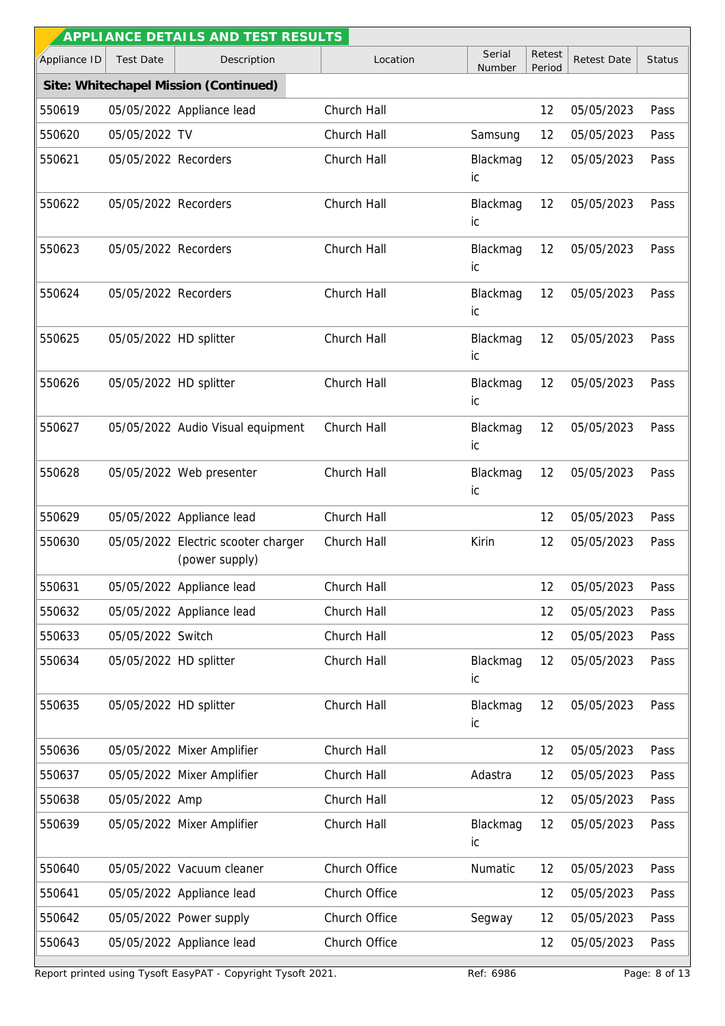|              |                        | APPLIANCE DETAILS AND TEST RESULTS                    |               |                  |                  |                    |               |
|--------------|------------------------|-------------------------------------------------------|---------------|------------------|------------------|--------------------|---------------|
| Appliance ID | <b>Test Date</b>       | Description                                           | Location      | Serial<br>Number | Retest<br>Period | <b>Retest Date</b> | <b>Status</b> |
|              |                        | Site: Whitechapel Mission (Continued)                 |               |                  |                  |                    |               |
| 550619       |                        | 05/05/2022 Appliance lead                             | Church Hall   |                  | 12               | 05/05/2023         | Pass          |
| 550620       | 05/05/2022 TV          |                                                       | Church Hall   | Samsung          | 12               | 05/05/2023         | Pass          |
| 550621       | 05/05/2022 Recorders   |                                                       | Church Hall   | Blackmag<br>ic   | 12               | 05/05/2023         | Pass          |
| 550622       | 05/05/2022 Recorders   |                                                       | Church Hall   | Blackmag<br>ic   | 12               | 05/05/2023         | Pass          |
| 550623       | 05/05/2022 Recorders   |                                                       | Church Hall   | Blackmag<br>ic   | 12               | 05/05/2023         | Pass          |
| 550624       | 05/05/2022 Recorders   |                                                       | Church Hall   | Blackmag<br>ic   | 12               | 05/05/2023         | Pass          |
| 550625       | 05/05/2022 HD splitter |                                                       | Church Hall   | Blackmag<br>ic   | 12               | 05/05/2023         | Pass          |
| 550626       | 05/05/2022 HD splitter |                                                       | Church Hall   | Blackmag<br>ic   | 12               | 05/05/2023         | Pass          |
| 550627       |                        | 05/05/2022 Audio Visual equipment                     | Church Hall   | Blackmag<br>ic   | 12               | 05/05/2023         | Pass          |
| 550628       |                        | 05/05/2022 Web presenter                              | Church Hall   | Blackmag<br>ic   | 12               | 05/05/2023         | Pass          |
| 550629       |                        | 05/05/2022 Appliance lead                             | Church Hall   |                  | 12               | 05/05/2023         | Pass          |
| 550630       |                        | 05/05/2022 Electric scooter charger<br>(power supply) | Church Hall   | Kirin            | 12               | 05/05/2023         | Pass          |
| 550631       |                        | 05/05/2022 Appliance lead                             | Church Hall   |                  | 12               | 05/05/2023         | Pass          |
| 550632       |                        | 05/05/2022 Appliance lead                             | Church Hall   |                  | 12               | 05/05/2023         | Pass          |
| 550633       | 05/05/2022 Switch      |                                                       | Church Hall   |                  | 12               | 05/05/2023         | Pass          |
| 550634       | 05/05/2022 HD splitter |                                                       | Church Hall   | Blackmag<br>ic   | 12               | 05/05/2023         | Pass          |
| 550635       | 05/05/2022 HD splitter |                                                       | Church Hall   | Blackmag<br>ic   | 12               | 05/05/2023         | Pass          |
| 550636       |                        | 05/05/2022 Mixer Amplifier                            | Church Hall   |                  | 12               | 05/05/2023         | Pass          |
| 550637       |                        | 05/05/2022 Mixer Amplifier                            | Church Hall   | Adastra          | 12               | 05/05/2023         | Pass          |
| 550638       | 05/05/2022 Amp         |                                                       | Church Hall   |                  | 12               | 05/05/2023         | Pass          |
| 550639       |                        | 05/05/2022 Mixer Amplifier                            | Church Hall   | Blackmag<br>ic   | 12               | 05/05/2023         | Pass          |
| 550640       |                        | 05/05/2022 Vacuum cleaner                             | Church Office | Numatic          | 12               | 05/05/2023         | Pass          |
| 550641       |                        | 05/05/2022 Appliance lead                             | Church Office |                  | 12               | 05/05/2023         | Pass          |
| 550642       |                        | 05/05/2022 Power supply                               | Church Office | Segway           | 12               | 05/05/2023         | Pass          |
| 550643       |                        | 05/05/2022 Appliance lead                             | Church Office |                  | 12               | 05/05/2023         | Pass          |

Report printed using Tysoft EasyPAT - Copyright Tysoft 2021. Ref: 6986 Ref: 6986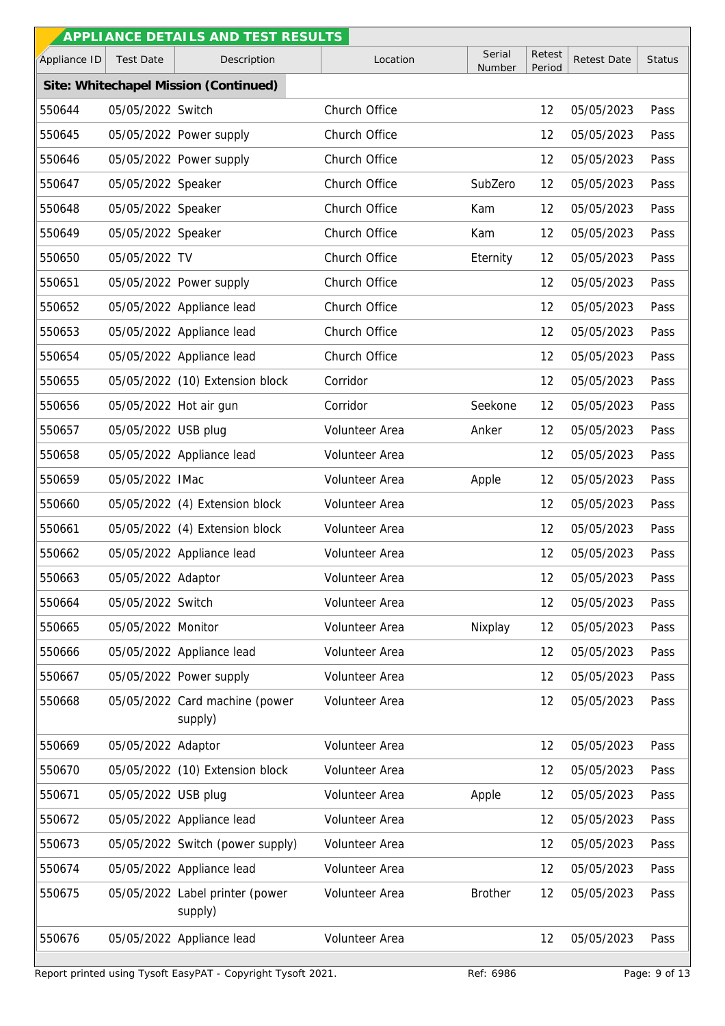|              |                        | APPLI ANCE DETAILS AND TEST RESULTS        |                |                  |                  |                    |               |
|--------------|------------------------|--------------------------------------------|----------------|------------------|------------------|--------------------|---------------|
| Appliance ID | <b>Test Date</b>       | Description                                | Location       | Serial<br>Number | Retest<br>Period | <b>Retest Date</b> | <b>Status</b> |
|              |                        | Site: Whitechapel Mission (Continued)      |                |                  |                  |                    |               |
| 550644       | 05/05/2022 Switch      |                                            | Church Office  |                  | 12               | 05/05/2023         | Pass          |
| 550645       |                        | 05/05/2022 Power supply                    | Church Office  |                  | 12               | 05/05/2023         | Pass          |
| 550646       |                        | 05/05/2022 Power supply                    | Church Office  |                  | 12               | 05/05/2023         | Pass          |
| 550647       | 05/05/2022 Speaker     |                                            | Church Office  | SubZero          | 12               | 05/05/2023         | Pass          |
| 550648       | 05/05/2022 Speaker     |                                            | Church Office  | Kam              | 12               | 05/05/2023         | Pass          |
| 550649       | 05/05/2022 Speaker     |                                            | Church Office  | Kam              | 12               | 05/05/2023         | Pass          |
| 550650       | 05/05/2022 TV          |                                            | Church Office  | Eternity         | 12               | 05/05/2023         | Pass          |
| 550651       |                        | 05/05/2022 Power supply                    | Church Office  |                  | 12               | 05/05/2023         | Pass          |
| 550652       |                        | 05/05/2022 Appliance lead                  | Church Office  |                  | 12               | 05/05/2023         | Pass          |
| 550653       |                        | 05/05/2022 Appliance lead                  | Church Office  |                  | 12               | 05/05/2023         | Pass          |
| 550654       |                        | 05/05/2022 Appliance lead                  | Church Office  |                  | 12               | 05/05/2023         | Pass          |
| 550655       |                        | 05/05/2022 (10) Extension block            | Corridor       |                  | 12               | 05/05/2023         | Pass          |
| 550656       | 05/05/2022 Hot air gun |                                            | Corridor       | Seekone          | 12               | 05/05/2023         | Pass          |
| 550657       | 05/05/2022 USB plug    |                                            | Volunteer Area | Anker            | 12               | 05/05/2023         | Pass          |
| 550658       |                        | 05/05/2022 Appliance lead                  | Volunteer Area |                  | 12               | 05/05/2023         | Pass          |
| 550659       | 05/05/2022 IMac        |                                            | Volunteer Area | Apple            | 12               | 05/05/2023         | Pass          |
| 550660       |                        | 05/05/2022 (4) Extension block             | Volunteer Area |                  | 12               | 05/05/2023         | Pass          |
| 550661       |                        | 05/05/2022 (4) Extension block             | Volunteer Area |                  | 12               | 05/05/2023         | Pass          |
| 550662       |                        | 05/05/2022 Appliance lead                  | Volunteer Area |                  | 12               | 05/05/2023         | Pass          |
| 550663       | 05/05/2022 Adaptor     |                                            | Volunteer Area |                  | 12               | 05/05/2023         | Pass          |
| 550664       | 05/05/2022 Switch      |                                            | Volunteer Area |                  | 12               | 05/05/2023         | Pass          |
| 550665       | 05/05/2022 Monitor     |                                            | Volunteer Area | Nixplay          | 12               | 05/05/2023         | Pass          |
| 550666       |                        | 05/05/2022 Appliance lead                  | Volunteer Area |                  | 12               | 05/05/2023         | Pass          |
| 550667       |                        | 05/05/2022 Power supply                    | Volunteer Area |                  | 12               | 05/05/2023         | Pass          |
| 550668       |                        | 05/05/2022 Card machine (power<br>supply)  | Volunteer Area |                  | 12               | 05/05/2023         | Pass          |
| 550669       | 05/05/2022 Adaptor     |                                            | Volunteer Area |                  | 12               | 05/05/2023         | Pass          |
| 550670       |                        | 05/05/2022 (10) Extension block            | Volunteer Area |                  | 12               | 05/05/2023         | Pass          |
| 550671       | 05/05/2022 USB plug    |                                            | Volunteer Area | Apple            | 12               | 05/05/2023         | Pass          |
| 550672       |                        | 05/05/2022 Appliance lead                  | Volunteer Area |                  | 12               | 05/05/2023         | Pass          |
| 550673       |                        | 05/05/2022 Switch (power supply)           | Volunteer Area |                  | 12               | 05/05/2023         | Pass          |
| 550674       |                        | 05/05/2022 Appliance lead                  | Volunteer Area |                  | 12               | 05/05/2023         | Pass          |
| 550675       |                        | 05/05/2022 Label printer (power<br>supply) | Volunteer Area | <b>Brother</b>   | 12               | 05/05/2023         | Pass          |
| 550676       |                        | 05/05/2022 Appliance lead                  | Volunteer Area |                  | 12               | 05/05/2023         | Pass          |
|              |                        |                                            |                |                  |                  |                    |               |

Report printed using Tysoft EasyPAT - Copyright Tysoft 2021. Ref: 6986 Ref: 6986 Page: 9 of 13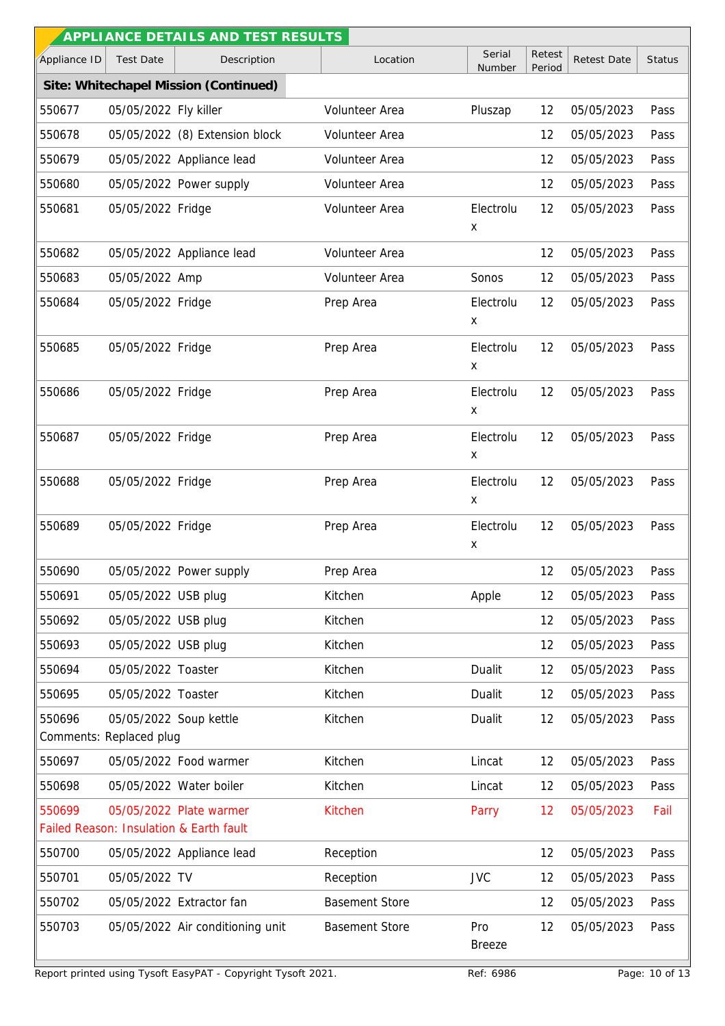|              |                                                   | APPLI ANCE DETAILS AND TEST RESULTS                                |                       |                      |                  |                    |               |
|--------------|---------------------------------------------------|--------------------------------------------------------------------|-----------------------|----------------------|------------------|--------------------|---------------|
| Appliance ID | <b>Test Date</b>                                  | Description                                                        | Location              | Serial<br>Number     | Retest<br>Period | <b>Retest Date</b> | <b>Status</b> |
|              |                                                   | Site: Whitechapel Mission (Continued)                              |                       |                      |                  |                    |               |
| 550677       | 05/05/2022 Fly killer                             |                                                                    | Volunteer Area        | Pluszap              | 12               | 05/05/2023         | Pass          |
| 550678       |                                                   | 05/05/2022 (8) Extension block                                     | Volunteer Area        |                      | 12               | 05/05/2023         | Pass          |
| 550679       |                                                   | 05/05/2022 Appliance lead                                          | Volunteer Area        |                      | 12               | 05/05/2023         | Pass          |
| 550680       |                                                   | 05/05/2022 Power supply                                            | Volunteer Area        |                      | 12               | 05/05/2023         | Pass          |
| 550681       | 05/05/2022 Fridge                                 |                                                                    | Volunteer Area        | Electrolu<br>X       | 12               | 05/05/2023         | Pass          |
| 550682       |                                                   | 05/05/2022 Appliance lead                                          | Volunteer Area        |                      | 12               | 05/05/2023         | Pass          |
| 550683       | 05/05/2022 Amp                                    |                                                                    | Volunteer Area        | Sonos                | 12               | 05/05/2023         | Pass          |
| 550684       | 05/05/2022 Fridge                                 |                                                                    | Prep Area             | Electrolu<br>X       | 12               | 05/05/2023         | Pass          |
| 550685       | 05/05/2022 Fridge                                 |                                                                    | Prep Area             | Electrolu<br>х       | 12               | 05/05/2023         | Pass          |
| 550686       | 05/05/2022 Fridge                                 |                                                                    | Prep Area             | Electrolu<br>X       | 12               | 05/05/2023         | Pass          |
| 550687       | 05/05/2022 Fridge                                 |                                                                    | Prep Area             | Electrolu<br>X       | 12               | 05/05/2023         | Pass          |
| 550688       | 05/05/2022 Fridge                                 |                                                                    | Prep Area             | Electrolu<br>X       | 12               | 05/05/2023         | Pass          |
| 550689       | 05/05/2022 Fridge                                 |                                                                    | Prep Area             | Electrolu<br>X       | 12               | 05/05/2023         | Pass          |
| 550690       |                                                   | 05/05/2022 Power supply                                            | Prep Area             |                      | 12               | 05/05/2023         | Pass          |
| 550691       | 05/05/2022 USB plug                               |                                                                    | Kitchen               | Apple                | 12               | 05/05/2023         | Pass          |
| 550692       | 05/05/2022 USB plug                               |                                                                    | Kitchen               |                      | 12               | 05/05/2023         | Pass          |
| 550693       | 05/05/2022 USB plug                               |                                                                    | Kitchen               |                      | 12               | 05/05/2023         | Pass          |
| 550694       | 05/05/2022 Toaster                                |                                                                    | Kitchen               | Dualit               | 12               | 05/05/2023         | Pass          |
| 550695       | 05/05/2022 Toaster                                |                                                                    | Kitchen               | Dualit               | 12               | 05/05/2023         | Pass          |
| 550696       | 05/05/2022 Soup kettle<br>Comments: Replaced plug |                                                                    | Kitchen               | Dualit               | 12               | 05/05/2023         | Pass          |
| 550697       |                                                   | 05/05/2022 Food warmer                                             | Kitchen               | Lincat               | 12               | 05/05/2023         | Pass          |
| 550698       |                                                   | 05/05/2022 Water boiler                                            | Kitchen               | Lincat               | 12               | 05/05/2023         | Pass          |
| 550699       |                                                   | 05/05/2022 Plate warmer<br>Failed Reason: Insulation & Earth fault | <b>Kitchen</b>        | Parry                | 12               | 05/05/2023         | Fail          |
| 550700       |                                                   | 05/05/2022 Appliance lead                                          | Reception             |                      | 12               | 05/05/2023         | Pass          |
| 550701       | 05/05/2022 TV                                     |                                                                    | Reception             | <b>JVC</b>           | 12               | 05/05/2023         | Pass          |
| 550702       |                                                   | 05/05/2022 Extractor fan                                           | <b>Basement Store</b> |                      | 12               | 05/05/2023         | Pass          |
| 550703       |                                                   | 05/05/2022 Air conditioning unit                                   | <b>Basement Store</b> | Pro<br><b>Breeze</b> | 12               | 05/05/2023         | Pass          |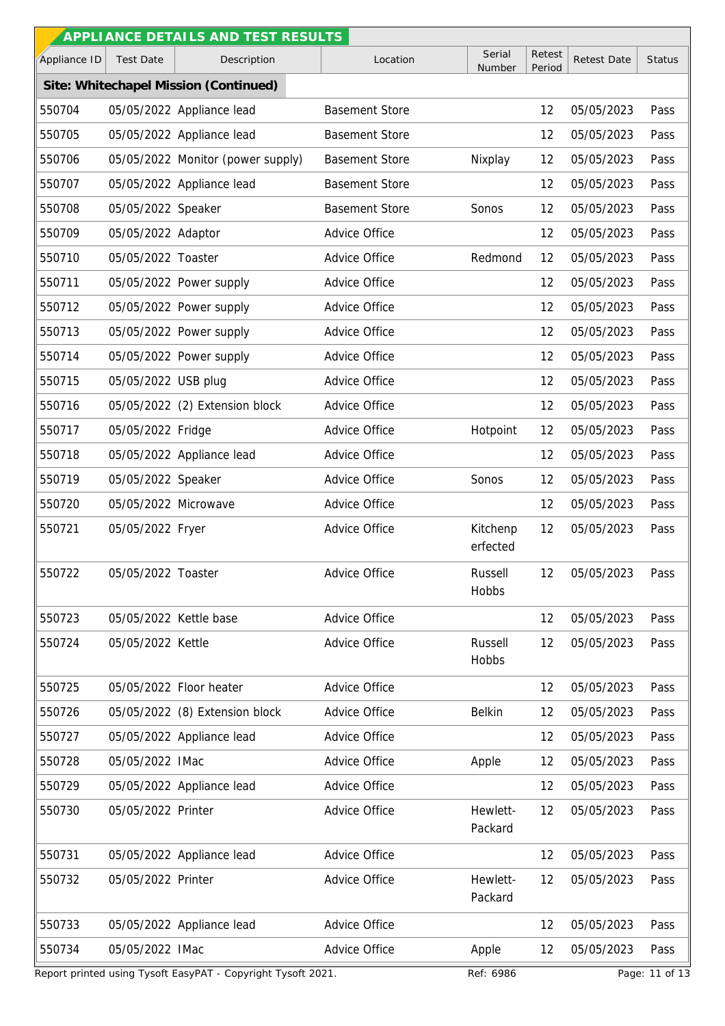|              |                        | APPLIANCE DETAILS AND TEST RESULTS    |                       |                      |                  |                    |               |
|--------------|------------------------|---------------------------------------|-----------------------|----------------------|------------------|--------------------|---------------|
| Appliance ID | <b>Test Date</b>       | Description                           | Location              | Serial<br>Number     | Retest<br>Period | <b>Retest Date</b> | <b>Status</b> |
|              |                        | Site: Whitechapel Mission (Continued) |                       |                      |                  |                    |               |
| 550704       |                        | 05/05/2022 Appliance lead             | <b>Basement Store</b> |                      | 12               | 05/05/2023         | Pass          |
| 550705       |                        | 05/05/2022 Appliance lead             | <b>Basement Store</b> |                      | 12               | 05/05/2023         | Pass          |
| 550706       |                        | 05/05/2022 Monitor (power supply)     | <b>Basement Store</b> | Nixplay              | 12               | 05/05/2023         | Pass          |
| 550707       |                        | 05/05/2022 Appliance lead             | <b>Basement Store</b> |                      | 12               | 05/05/2023         | Pass          |
| 550708       | 05/05/2022 Speaker     |                                       | <b>Basement Store</b> | Sonos                | 12               | 05/05/2023         | Pass          |
| 550709       | 05/05/2022 Adaptor     |                                       | Advice Office         |                      | 12               | 05/05/2023         | Pass          |
| 550710       | 05/05/2022 Toaster     |                                       | Advice Office         | Redmond              | 12               | 05/05/2023         | Pass          |
| 550711       |                        | 05/05/2022 Power supply               | Advice Office         |                      | 12               | 05/05/2023         | Pass          |
| 550712       |                        | 05/05/2022 Power supply               | Advice Office         |                      | 12               | 05/05/2023         | Pass          |
| 550713       |                        | 05/05/2022 Power supply               | Advice Office         |                      | 12               | 05/05/2023         | Pass          |
| 550714       |                        | 05/05/2022 Power supply               | Advice Office         |                      | 12               | 05/05/2023         | Pass          |
| 550715       | 05/05/2022 USB plug    |                                       | Advice Office         |                      | 12               | 05/05/2023         | Pass          |
| 550716       |                        | 05/05/2022 (2) Extension block        | Advice Office         |                      | 12               | 05/05/2023         | Pass          |
| 550717       | 05/05/2022 Fridge      |                                       | Advice Office         | Hotpoint             | 12               | 05/05/2023         | Pass          |
| 550718       |                        | 05/05/2022 Appliance lead             | Advice Office         |                      | 12               | 05/05/2023         | Pass          |
| 550719       | 05/05/2022 Speaker     |                                       | Advice Office         | Sonos                | 12               | 05/05/2023         | Pass          |
| 550720       | 05/05/2022 Microwave   |                                       | Advice Office         |                      | 12               | 05/05/2023         | Pass          |
| 550721       | 05/05/2022 Fryer       |                                       | Advice Office         | Kitchenp<br>erfected | 12               | 05/05/2023         | Pass          |
| 550722       | 05/05/2022 Toaster     |                                       | Advice Office         | Russell<br>Hobbs     | 12               | 05/05/2023         | Pass          |
| 550723       | 05/05/2022 Kettle base |                                       | Advice Office         |                      | 12               | 05/05/2023         | Pass          |
| 550724       | 05/05/2022 Kettle      |                                       | Advice Office         | Russell<br>Hobbs     | 12               | 05/05/2023         | Pass          |
| 550725       |                        | 05/05/2022 Floor heater               | Advice Office         |                      | 12               | 05/05/2023         | Pass          |
| 550726       |                        | 05/05/2022 (8) Extension block        | Advice Office         | <b>Belkin</b>        | 12               | 05/05/2023         | Pass          |
| 550727       |                        | 05/05/2022 Appliance lead             | Advice Office         |                      | 12               | 05/05/2023         | Pass          |
| 550728       | 05/05/2022 IMac        |                                       | Advice Office         | Apple                | 12               | 05/05/2023         | Pass          |
| 550729       |                        | 05/05/2022 Appliance lead             | Advice Office         |                      | 12               | 05/05/2023         | Pass          |
| 550730       | 05/05/2022 Printer     |                                       | Advice Office         | Hewlett-<br>Packard  | 12               | 05/05/2023         | Pass          |
| 550731       |                        | 05/05/2022 Appliance lead             | Advice Office         |                      | 12               | 05/05/2023         | Pass          |
| 550732       | 05/05/2022 Printer     |                                       | Advice Office         | Hewlett-<br>Packard  | 12               | 05/05/2023         | Pass          |
| 550733       |                        | 05/05/2022 Appliance lead             | Advice Office         |                      | 12               | 05/05/2023         | Pass          |
| 550734       | 05/05/2022 IMac        |                                       | Advice Office         | Apple                | 12               | 05/05/2023         | Pass          |
|              |                        |                                       |                       |                      |                  |                    |               |

Report printed using Tysoft EasyPAT - Copyright Tysoft 2021. Ref: 6986 Ref: 6986 Page: 11 of 13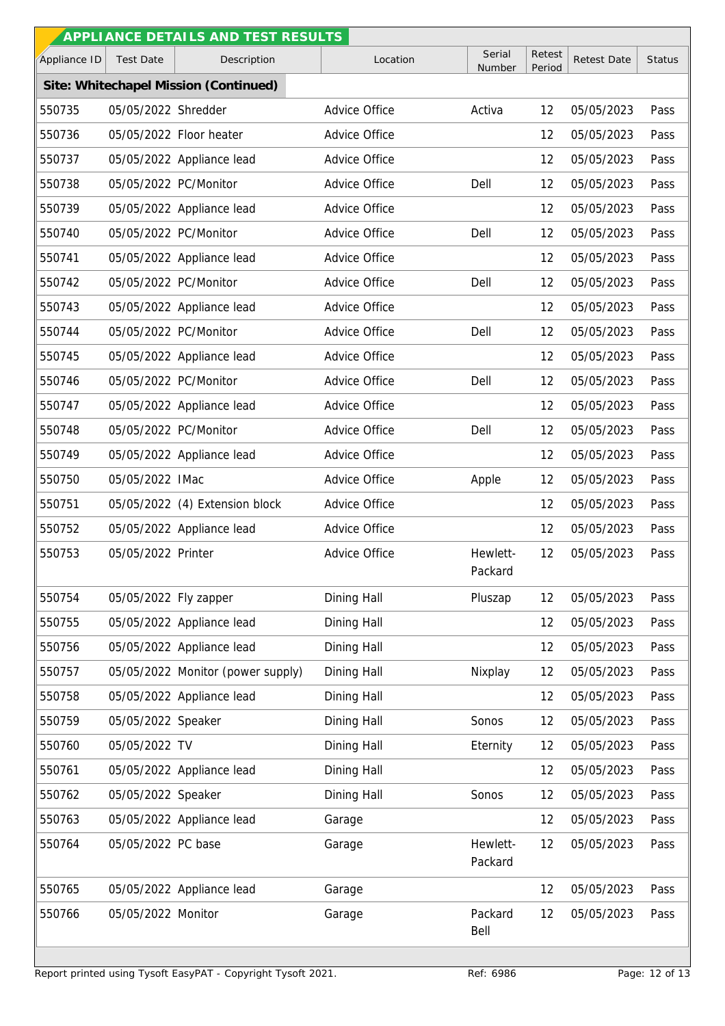| Serial<br>Retest<br>Description<br>Appliance ID<br><b>Test Date</b><br>Location<br><b>Retest Date</b><br>Number<br>Period<br>Site: Whitechapel Mission (Continued)<br>550735<br>05/05/2022 Shredder<br>Advice Office<br>Activa<br>12<br>05/05/2023<br>550736<br>05/05/2022 Floor heater<br>Advice Office<br>12<br>05/05/2023<br>550737<br>05/05/2022 Appliance lead<br>Advice Office<br>05/05/2023<br>12<br>05/05/2022 PC/Monitor<br>Advice Office<br>550738<br>Dell<br>12<br>05/05/2023<br>550739<br>Advice Office<br>12<br>05/05/2022 Appliance lead<br>05/05/2023<br>550740<br>05/05/2022 PC/Monitor<br>Advice Office<br>05/05/2023<br>Dell<br>12<br>550741<br>05/05/2022 Appliance lead<br>Advice Office<br>12<br>05/05/2023<br>05/05/2022 PC/Monitor<br>Advice Office<br>550742<br>Dell<br>12<br>05/05/2023<br>550743<br>Advice Office<br>05/05/2023<br>05/05/2022 Appliance lead<br>12<br>550744<br>05/05/2022 PC/Monitor<br>Advice Office<br>12<br>Dell<br>05/05/2023<br>Advice Office<br>550745<br>05/05/2022 Appliance lead<br>12<br>05/05/2023<br>05/05/2022 PC/Monitor<br>Advice Office<br>550746<br>Dell<br>12<br>05/05/2023<br>550747<br>Advice Office<br>12<br>05/05/2023<br>05/05/2022 Appliance lead<br>05/05/2022 PC/Monitor<br>Advice Office<br>550748<br>Dell<br>12<br>05/05/2023<br>550749<br>Advice Office<br>12<br>05/05/2023<br>05/05/2022 Appliance lead<br>550750<br>05/05/2022 IMac<br>Advice Office<br>12<br>05/05/2023<br>Apple<br>05/05/2022 (4) Extension block<br>Advice Office<br>550751<br>12<br>05/05/2023<br>Advice Office<br>12<br>550752<br>05/05/2022 Appliance lead<br>05/05/2023<br>550753<br>05/05/2022 Printer<br>Advice Office<br>Hewlett-<br>12<br>05/05/2023<br>Packard<br>550754<br>05/05/2022 Fly zapper<br>Dining Hall<br>12<br>Pluszap<br>05/05/2023<br>Pass<br>550755<br>05/05/2022 Appliance lead<br>Dining Hall<br>12<br>05/05/2023<br>Pass<br>05/05/2022 Appliance lead<br>Dining Hall<br>550756<br>12<br>05/05/2023<br>Pass<br>05/05/2022 Monitor (power supply)<br>Dining Hall<br>Nixplay<br>05/05/2023<br>550757<br>12<br>Pass<br>550758<br>05/05/2022 Appliance lead<br>Dining Hall<br>12<br>05/05/2023<br>Dining Hall<br>550759<br>05/05/2022 Speaker<br>Sonos<br>12<br>05/05/2023<br>05/05/2022 TV<br>Dining Hall<br>05/05/2023<br>550760<br>Eternity<br>12<br>550761<br>Dining Hall<br>12<br>05/05/2022 Appliance lead<br>05/05/2023<br>550762<br>05/05/2022 Speaker<br>Dining Hall<br>Sonos<br>12<br>05/05/2023<br>05/05/2022 Appliance lead<br>550763<br>Garage<br>12<br>05/05/2023<br>550764<br>05/05/2022 PC base<br>Hewlett-<br>12<br>05/05/2023<br>Garage<br>Packard<br>05/05/2022 Appliance lead<br>12<br>550765<br>Garage<br>05/05/2023 |  | APPLI ANCE DETAILS AND TEST RESULTS |  |  |               |
|-------------------------------------------------------------------------------------------------------------------------------------------------------------------------------------------------------------------------------------------------------------------------------------------------------------------------------------------------------------------------------------------------------------------------------------------------------------------------------------------------------------------------------------------------------------------------------------------------------------------------------------------------------------------------------------------------------------------------------------------------------------------------------------------------------------------------------------------------------------------------------------------------------------------------------------------------------------------------------------------------------------------------------------------------------------------------------------------------------------------------------------------------------------------------------------------------------------------------------------------------------------------------------------------------------------------------------------------------------------------------------------------------------------------------------------------------------------------------------------------------------------------------------------------------------------------------------------------------------------------------------------------------------------------------------------------------------------------------------------------------------------------------------------------------------------------------------------------------------------------------------------------------------------------------------------------------------------------------------------------------------------------------------------------------------------------------------------------------------------------------------------------------------------------------------------------------------------------------------------------------------------------------------------------------------------------------------------------------------------------------------------------------------------------------------------------------------------------------------------------------------------------------------------------------------------------------------------------------------------------------------------------------------------------------------------------------------------|--|-------------------------------------|--|--|---------------|
|                                                                                                                                                                                                                                                                                                                                                                                                                                                                                                                                                                                                                                                                                                                                                                                                                                                                                                                                                                                                                                                                                                                                                                                                                                                                                                                                                                                                                                                                                                                                                                                                                                                                                                                                                                                                                                                                                                                                                                                                                                                                                                                                                                                                                                                                                                                                                                                                                                                                                                                                                                                                                                                                                                             |  |                                     |  |  | <b>Status</b> |
|                                                                                                                                                                                                                                                                                                                                                                                                                                                                                                                                                                                                                                                                                                                                                                                                                                                                                                                                                                                                                                                                                                                                                                                                                                                                                                                                                                                                                                                                                                                                                                                                                                                                                                                                                                                                                                                                                                                                                                                                                                                                                                                                                                                                                                                                                                                                                                                                                                                                                                                                                                                                                                                                                                             |  |                                     |  |  |               |
|                                                                                                                                                                                                                                                                                                                                                                                                                                                                                                                                                                                                                                                                                                                                                                                                                                                                                                                                                                                                                                                                                                                                                                                                                                                                                                                                                                                                                                                                                                                                                                                                                                                                                                                                                                                                                                                                                                                                                                                                                                                                                                                                                                                                                                                                                                                                                                                                                                                                                                                                                                                                                                                                                                             |  |                                     |  |  | Pass          |
|                                                                                                                                                                                                                                                                                                                                                                                                                                                                                                                                                                                                                                                                                                                                                                                                                                                                                                                                                                                                                                                                                                                                                                                                                                                                                                                                                                                                                                                                                                                                                                                                                                                                                                                                                                                                                                                                                                                                                                                                                                                                                                                                                                                                                                                                                                                                                                                                                                                                                                                                                                                                                                                                                                             |  |                                     |  |  | Pass          |
|                                                                                                                                                                                                                                                                                                                                                                                                                                                                                                                                                                                                                                                                                                                                                                                                                                                                                                                                                                                                                                                                                                                                                                                                                                                                                                                                                                                                                                                                                                                                                                                                                                                                                                                                                                                                                                                                                                                                                                                                                                                                                                                                                                                                                                                                                                                                                                                                                                                                                                                                                                                                                                                                                                             |  |                                     |  |  | Pass          |
|                                                                                                                                                                                                                                                                                                                                                                                                                                                                                                                                                                                                                                                                                                                                                                                                                                                                                                                                                                                                                                                                                                                                                                                                                                                                                                                                                                                                                                                                                                                                                                                                                                                                                                                                                                                                                                                                                                                                                                                                                                                                                                                                                                                                                                                                                                                                                                                                                                                                                                                                                                                                                                                                                                             |  |                                     |  |  | Pass          |
|                                                                                                                                                                                                                                                                                                                                                                                                                                                                                                                                                                                                                                                                                                                                                                                                                                                                                                                                                                                                                                                                                                                                                                                                                                                                                                                                                                                                                                                                                                                                                                                                                                                                                                                                                                                                                                                                                                                                                                                                                                                                                                                                                                                                                                                                                                                                                                                                                                                                                                                                                                                                                                                                                                             |  |                                     |  |  | Pass          |
|                                                                                                                                                                                                                                                                                                                                                                                                                                                                                                                                                                                                                                                                                                                                                                                                                                                                                                                                                                                                                                                                                                                                                                                                                                                                                                                                                                                                                                                                                                                                                                                                                                                                                                                                                                                                                                                                                                                                                                                                                                                                                                                                                                                                                                                                                                                                                                                                                                                                                                                                                                                                                                                                                                             |  |                                     |  |  | Pass          |
|                                                                                                                                                                                                                                                                                                                                                                                                                                                                                                                                                                                                                                                                                                                                                                                                                                                                                                                                                                                                                                                                                                                                                                                                                                                                                                                                                                                                                                                                                                                                                                                                                                                                                                                                                                                                                                                                                                                                                                                                                                                                                                                                                                                                                                                                                                                                                                                                                                                                                                                                                                                                                                                                                                             |  |                                     |  |  | Pass          |
|                                                                                                                                                                                                                                                                                                                                                                                                                                                                                                                                                                                                                                                                                                                                                                                                                                                                                                                                                                                                                                                                                                                                                                                                                                                                                                                                                                                                                                                                                                                                                                                                                                                                                                                                                                                                                                                                                                                                                                                                                                                                                                                                                                                                                                                                                                                                                                                                                                                                                                                                                                                                                                                                                                             |  |                                     |  |  | Pass          |
|                                                                                                                                                                                                                                                                                                                                                                                                                                                                                                                                                                                                                                                                                                                                                                                                                                                                                                                                                                                                                                                                                                                                                                                                                                                                                                                                                                                                                                                                                                                                                                                                                                                                                                                                                                                                                                                                                                                                                                                                                                                                                                                                                                                                                                                                                                                                                                                                                                                                                                                                                                                                                                                                                                             |  |                                     |  |  | Pass          |
|                                                                                                                                                                                                                                                                                                                                                                                                                                                                                                                                                                                                                                                                                                                                                                                                                                                                                                                                                                                                                                                                                                                                                                                                                                                                                                                                                                                                                                                                                                                                                                                                                                                                                                                                                                                                                                                                                                                                                                                                                                                                                                                                                                                                                                                                                                                                                                                                                                                                                                                                                                                                                                                                                                             |  |                                     |  |  | Pass          |
|                                                                                                                                                                                                                                                                                                                                                                                                                                                                                                                                                                                                                                                                                                                                                                                                                                                                                                                                                                                                                                                                                                                                                                                                                                                                                                                                                                                                                                                                                                                                                                                                                                                                                                                                                                                                                                                                                                                                                                                                                                                                                                                                                                                                                                                                                                                                                                                                                                                                                                                                                                                                                                                                                                             |  |                                     |  |  | Pass          |
|                                                                                                                                                                                                                                                                                                                                                                                                                                                                                                                                                                                                                                                                                                                                                                                                                                                                                                                                                                                                                                                                                                                                                                                                                                                                                                                                                                                                                                                                                                                                                                                                                                                                                                                                                                                                                                                                                                                                                                                                                                                                                                                                                                                                                                                                                                                                                                                                                                                                                                                                                                                                                                                                                                             |  |                                     |  |  | Pass          |
|                                                                                                                                                                                                                                                                                                                                                                                                                                                                                                                                                                                                                                                                                                                                                                                                                                                                                                                                                                                                                                                                                                                                                                                                                                                                                                                                                                                                                                                                                                                                                                                                                                                                                                                                                                                                                                                                                                                                                                                                                                                                                                                                                                                                                                                                                                                                                                                                                                                                                                                                                                                                                                                                                                             |  |                                     |  |  | Pass          |
|                                                                                                                                                                                                                                                                                                                                                                                                                                                                                                                                                                                                                                                                                                                                                                                                                                                                                                                                                                                                                                                                                                                                                                                                                                                                                                                                                                                                                                                                                                                                                                                                                                                                                                                                                                                                                                                                                                                                                                                                                                                                                                                                                                                                                                                                                                                                                                                                                                                                                                                                                                                                                                                                                                             |  |                                     |  |  | Pass          |
|                                                                                                                                                                                                                                                                                                                                                                                                                                                                                                                                                                                                                                                                                                                                                                                                                                                                                                                                                                                                                                                                                                                                                                                                                                                                                                                                                                                                                                                                                                                                                                                                                                                                                                                                                                                                                                                                                                                                                                                                                                                                                                                                                                                                                                                                                                                                                                                                                                                                                                                                                                                                                                                                                                             |  |                                     |  |  | Pass          |
|                                                                                                                                                                                                                                                                                                                                                                                                                                                                                                                                                                                                                                                                                                                                                                                                                                                                                                                                                                                                                                                                                                                                                                                                                                                                                                                                                                                                                                                                                                                                                                                                                                                                                                                                                                                                                                                                                                                                                                                                                                                                                                                                                                                                                                                                                                                                                                                                                                                                                                                                                                                                                                                                                                             |  |                                     |  |  | Pass          |
|                                                                                                                                                                                                                                                                                                                                                                                                                                                                                                                                                                                                                                                                                                                                                                                                                                                                                                                                                                                                                                                                                                                                                                                                                                                                                                                                                                                                                                                                                                                                                                                                                                                                                                                                                                                                                                                                                                                                                                                                                                                                                                                                                                                                                                                                                                                                                                                                                                                                                                                                                                                                                                                                                                             |  |                                     |  |  | Pass          |
|                                                                                                                                                                                                                                                                                                                                                                                                                                                                                                                                                                                                                                                                                                                                                                                                                                                                                                                                                                                                                                                                                                                                                                                                                                                                                                                                                                                                                                                                                                                                                                                                                                                                                                                                                                                                                                                                                                                                                                                                                                                                                                                                                                                                                                                                                                                                                                                                                                                                                                                                                                                                                                                                                                             |  |                                     |  |  | Pass          |
|                                                                                                                                                                                                                                                                                                                                                                                                                                                                                                                                                                                                                                                                                                                                                                                                                                                                                                                                                                                                                                                                                                                                                                                                                                                                                                                                                                                                                                                                                                                                                                                                                                                                                                                                                                                                                                                                                                                                                                                                                                                                                                                                                                                                                                                                                                                                                                                                                                                                                                                                                                                                                                                                                                             |  |                                     |  |  | Pass          |
|                                                                                                                                                                                                                                                                                                                                                                                                                                                                                                                                                                                                                                                                                                                                                                                                                                                                                                                                                                                                                                                                                                                                                                                                                                                                                                                                                                                                                                                                                                                                                                                                                                                                                                                                                                                                                                                                                                                                                                                                                                                                                                                                                                                                                                                                                                                                                                                                                                                                                                                                                                                                                                                                                                             |  |                                     |  |  |               |
|                                                                                                                                                                                                                                                                                                                                                                                                                                                                                                                                                                                                                                                                                                                                                                                                                                                                                                                                                                                                                                                                                                                                                                                                                                                                                                                                                                                                                                                                                                                                                                                                                                                                                                                                                                                                                                                                                                                                                                                                                                                                                                                                                                                                                                                                                                                                                                                                                                                                                                                                                                                                                                                                                                             |  |                                     |  |  |               |
|                                                                                                                                                                                                                                                                                                                                                                                                                                                                                                                                                                                                                                                                                                                                                                                                                                                                                                                                                                                                                                                                                                                                                                                                                                                                                                                                                                                                                                                                                                                                                                                                                                                                                                                                                                                                                                                                                                                                                                                                                                                                                                                                                                                                                                                                                                                                                                                                                                                                                                                                                                                                                                                                                                             |  |                                     |  |  |               |
|                                                                                                                                                                                                                                                                                                                                                                                                                                                                                                                                                                                                                                                                                                                                                                                                                                                                                                                                                                                                                                                                                                                                                                                                                                                                                                                                                                                                                                                                                                                                                                                                                                                                                                                                                                                                                                                                                                                                                                                                                                                                                                                                                                                                                                                                                                                                                                                                                                                                                                                                                                                                                                                                                                             |  |                                     |  |  |               |
|                                                                                                                                                                                                                                                                                                                                                                                                                                                                                                                                                                                                                                                                                                                                                                                                                                                                                                                                                                                                                                                                                                                                                                                                                                                                                                                                                                                                                                                                                                                                                                                                                                                                                                                                                                                                                                                                                                                                                                                                                                                                                                                                                                                                                                                                                                                                                                                                                                                                                                                                                                                                                                                                                                             |  |                                     |  |  | Pass          |
|                                                                                                                                                                                                                                                                                                                                                                                                                                                                                                                                                                                                                                                                                                                                                                                                                                                                                                                                                                                                                                                                                                                                                                                                                                                                                                                                                                                                                                                                                                                                                                                                                                                                                                                                                                                                                                                                                                                                                                                                                                                                                                                                                                                                                                                                                                                                                                                                                                                                                                                                                                                                                                                                                                             |  |                                     |  |  | Pass          |
|                                                                                                                                                                                                                                                                                                                                                                                                                                                                                                                                                                                                                                                                                                                                                                                                                                                                                                                                                                                                                                                                                                                                                                                                                                                                                                                                                                                                                                                                                                                                                                                                                                                                                                                                                                                                                                                                                                                                                                                                                                                                                                                                                                                                                                                                                                                                                                                                                                                                                                                                                                                                                                                                                                             |  |                                     |  |  | Pass          |
|                                                                                                                                                                                                                                                                                                                                                                                                                                                                                                                                                                                                                                                                                                                                                                                                                                                                                                                                                                                                                                                                                                                                                                                                                                                                                                                                                                                                                                                                                                                                                                                                                                                                                                                                                                                                                                                                                                                                                                                                                                                                                                                                                                                                                                                                                                                                                                                                                                                                                                                                                                                                                                                                                                             |  |                                     |  |  | Pass          |
|                                                                                                                                                                                                                                                                                                                                                                                                                                                                                                                                                                                                                                                                                                                                                                                                                                                                                                                                                                                                                                                                                                                                                                                                                                                                                                                                                                                                                                                                                                                                                                                                                                                                                                                                                                                                                                                                                                                                                                                                                                                                                                                                                                                                                                                                                                                                                                                                                                                                                                                                                                                                                                                                                                             |  |                                     |  |  | Pass          |
|                                                                                                                                                                                                                                                                                                                                                                                                                                                                                                                                                                                                                                                                                                                                                                                                                                                                                                                                                                                                                                                                                                                                                                                                                                                                                                                                                                                                                                                                                                                                                                                                                                                                                                                                                                                                                                                                                                                                                                                                                                                                                                                                                                                                                                                                                                                                                                                                                                                                                                                                                                                                                                                                                                             |  |                                     |  |  | Pass          |
|                                                                                                                                                                                                                                                                                                                                                                                                                                                                                                                                                                                                                                                                                                                                                                                                                                                                                                                                                                                                                                                                                                                                                                                                                                                                                                                                                                                                                                                                                                                                                                                                                                                                                                                                                                                                                                                                                                                                                                                                                                                                                                                                                                                                                                                                                                                                                                                                                                                                                                                                                                                                                                                                                                             |  |                                     |  |  | Pass          |
|                                                                                                                                                                                                                                                                                                                                                                                                                                                                                                                                                                                                                                                                                                                                                                                                                                                                                                                                                                                                                                                                                                                                                                                                                                                                                                                                                                                                                                                                                                                                                                                                                                                                                                                                                                                                                                                                                                                                                                                                                                                                                                                                                                                                                                                                                                                                                                                                                                                                                                                                                                                                                                                                                                             |  |                                     |  |  |               |
|                                                                                                                                                                                                                                                                                                                                                                                                                                                                                                                                                                                                                                                                                                                                                                                                                                                                                                                                                                                                                                                                                                                                                                                                                                                                                                                                                                                                                                                                                                                                                                                                                                                                                                                                                                                                                                                                                                                                                                                                                                                                                                                                                                                                                                                                                                                                                                                                                                                                                                                                                                                                                                                                                                             |  |                                     |  |  | Pass          |
| 550766<br>05/05/2022 Monitor<br>Packard<br>12<br>05/05/2023<br>Garage<br>Bell                                                                                                                                                                                                                                                                                                                                                                                                                                                                                                                                                                                                                                                                                                                                                                                                                                                                                                                                                                                                                                                                                                                                                                                                                                                                                                                                                                                                                                                                                                                                                                                                                                                                                                                                                                                                                                                                                                                                                                                                                                                                                                                                                                                                                                                                                                                                                                                                                                                                                                                                                                                                                               |  |                                     |  |  | Pass          |